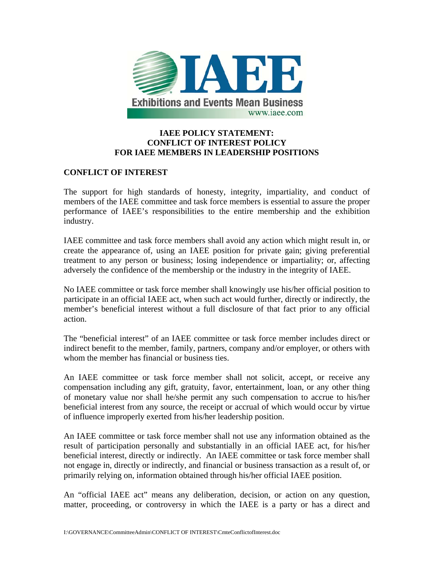

# **IAEE POLICY STATEMENT: CONFLICT OF INTEREST POLICY FOR IAEE MEMBERS IN LEADERSHIP POSITIONS**

### **CONFLICT OF INTEREST**

The support for high standards of honesty, integrity, impartiality, and conduct of members of the IAEE committee and task force members is essential to assure the proper performance of IAEE's responsibilities to the entire membership and the exhibition industry.

IAEE committee and task force members shall avoid any action which might result in, or create the appearance of, using an IAEE position for private gain; giving preferential treatment to any person or business; losing independence or impartiality; or, affecting adversely the confidence of the membership or the industry in the integrity of IAEE.

No IAEE committee or task force member shall knowingly use his/her official position to participate in an official IAEE act, when such act would further, directly or indirectly, the member's beneficial interest without a full disclosure of that fact prior to any official action.

The "beneficial interest" of an IAEE committee or task force member includes direct or indirect benefit to the member, family, partners, company and/or employer, or others with whom the member has financial or business ties.

An IAEE committee or task force member shall not solicit, accept, or receive any compensation including any gift, gratuity, favor, entertainment, loan, or any other thing of monetary value nor shall he/she permit any such compensation to accrue to his/her beneficial interest from any source, the receipt or accrual of which would occur by virtue of influence improperly exerted from his/her leadership position.

An IAEE committee or task force member shall not use any information obtained as the result of participation personally and substantially in an official IAEE act, for his/her beneficial interest, directly or indirectly. An IAEE committee or task force member shall not engage in, directly or indirectly, and financial or business transaction as a result of, or primarily relying on, information obtained through his/her official IAEE position.

An "official IAEE act" means any deliberation, decision, or action on any question, matter, proceeding, or controversy in which the IAEE is a party or has a direct and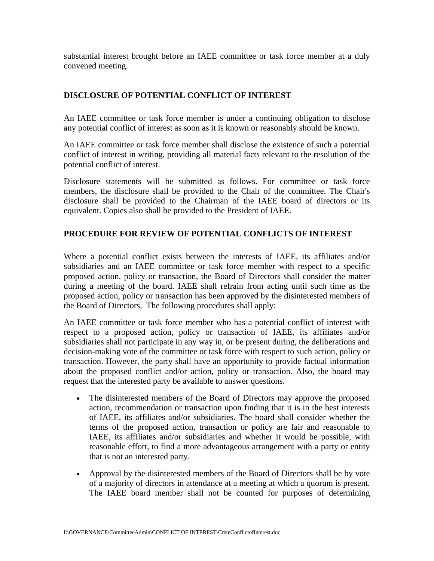substantial interest brought before an IAEE committee or task force member at a duly convened meeting.

# **DISCLOSURE OF POTENTIAL CONFLICT OF INTEREST**

An IAEE committee or task force member is under a continuing obligation to disclose any potential conflict of interest as soon as it is known or reasonably should be known.

An IAEE committee or task force member shall disclose the existence of such a potential conflict of interest in writing, providing all material facts relevant to the resolution of the potential conflict of interest.

Disclosure statements will be submitted as follows. For committee or task force members, the disclosure shall be provided to the Chair of the committee. The Chair's disclosure shall be provided to the Chairman of the IAEE board of directors or its equivalent. Copies also shall be provided to the President of IAEE.

# **PROCEDURE FOR REVIEW OF POTENTIAL CONFLICTS OF INTEREST**

Where a potential conflict exists between the interests of IAEE, its affiliates and/or subsidiaries and an IAEE committee or task force member with respect to a specific proposed action, policy or transaction, the Board of Directors shall consider the matter during a meeting of the board. IAEE shall refrain from acting until such time as the proposed action, policy or transaction has been approved by the disinterested members of the Board of Directors. The following procedures shall apply:

An IAEE committee or task force member who has a potential conflict of interest with respect to a proposed action, policy or transaction of IAEE, its affiliates and/or subsidiaries shall not participate in any way in, or be present during, the deliberations and decision-making vote of the committee or task force with respect to such action, policy or transaction. However, the party shall have an opportunity to provide factual information about the proposed conflict and/or action, policy or transaction. Also, the board may request that the interested party be available to answer questions.

- The disinterested members of the Board of Directors may approve the proposed action, recommendation or transaction upon finding that it is in the best interests of IAEE, its affiliates and/or subsidiaries. The board shall consider whether the terms of the proposed action, transaction or policy are fair and reasonable to IAEE, its affiliates and/or subsidiaries and whether it would be possible, with reasonable effort, to find a more advantageous arrangement with a party or entity that is not an interested party.
- Approval by the disinterested members of the Board of Directors shall be by vote of a majority of directors in attendance at a meeting at which a quorum is present. The IAEE board member shall not be counted for purposes of determining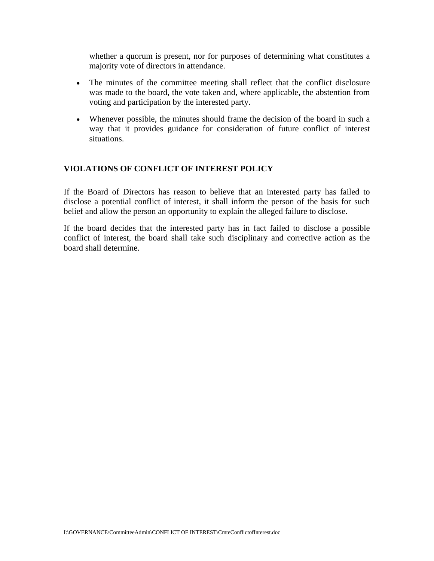whether a quorum is present, nor for purposes of determining what constitutes a majority vote of directors in attendance.

- The minutes of the committee meeting shall reflect that the conflict disclosure was made to the board, the vote taken and, where applicable, the abstention from voting and participation by the interested party.
- Whenever possible, the minutes should frame the decision of the board in such a way that it provides guidance for consideration of future conflict of interest situations.

### **VIOLATIONS OF CONFLICT OF INTEREST POLICY**

If the Board of Directors has reason to believe that an interested party has failed to disclose a potential conflict of interest, it shall inform the person of the basis for such belief and allow the person an opportunity to explain the alleged failure to disclose.

If the board decides that the interested party has in fact failed to disclose a possible conflict of interest, the board shall take such disciplinary and corrective action as the board shall determine.